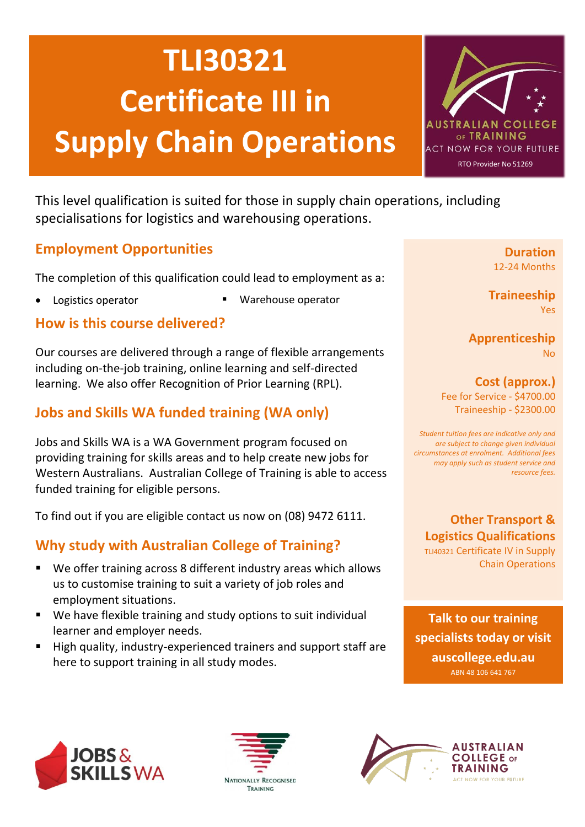# **TLI30321 Certificate III in Supply Chain Operations**



This level qualification is suited for those in supply chain operations, including specialisations for logistics and warehousing operations.

### **Employment Opportunities**

The completion of this qualification could lead to employment as a:

- 
- Logistics operator **· Produce 19 and 19 and 19 and 19 and 19 and 19 and 19 and 19 and 19 and 19 and 19 and 19 a**

#### **How is this course delivered?**

Our courses are delivered through a range of flexible arrangements including on-the-job training, online learning and self-directed learning. We also offer Recognition of Prior Learning (RPL).

# **Jobs and Skills WA funded training (WA only)**

Jobs and Skills WA is a WA Government program focused on providing training for skills areas and to help create new jobs for Western Australians. Australian College of Training is able to access funded training for eligible persons.

To find out if you are eligible contact us now on (08) 9472 6111.

## **Why study with Australian College of Training?**

- We offer training across 8 different industry areas which allows us to customise training to suit a variety of job roles and employment situations.
- We have flexible training and study options to suit individual learner and employer needs.
- High quality, industry-experienced trainers and support staff are here to support training in all study modes.

**Duration** 12-24 Months

**Traineeship** Yes

**Apprenticeship** No

**Cost (approx.)** Fee for Service - \$4700.00 Traineeship - \$2300.00

*Student tuition fees are indicative only and are subject to change given individual circumstances at enrolment. Additional fees may apply such as student service and resource fees.*

### **Other Transport & Logistics Qualifications**

TLI40321 Certificate IV in Supply Chain Operations

**Talk to our training specialists today or visit auscollege.edu.au** ABN 48 106 641 767





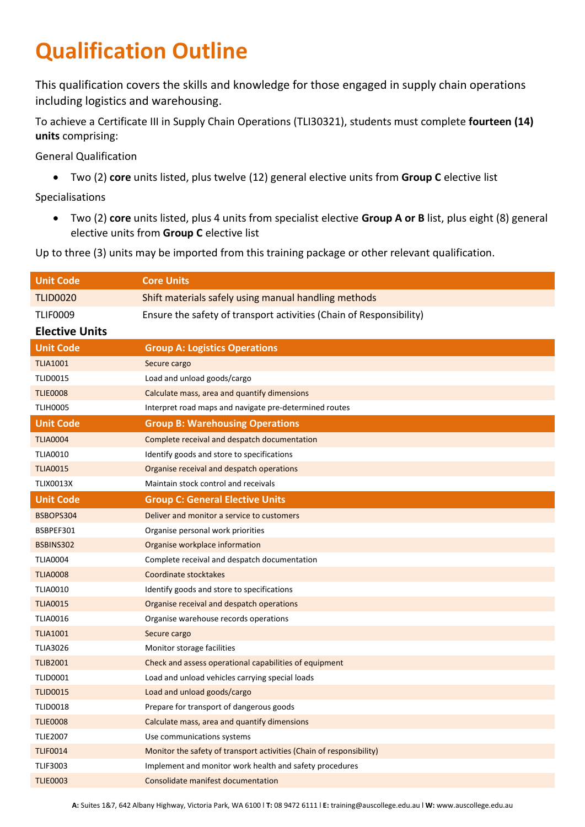# **Qualification Outline**

This qualification covers the skills and knowledge for those engaged in supply chain operations including logistics and warehousing.

To achieve a Certificate III in Supply Chain Operations (TLI30321), students must complete **fourteen (14) units** comprising:

General Qualification

• Two (2) **core** units listed, plus twelve (12) general elective units from **Group C** elective list

Specialisations

• Two (2) **core** units listed, plus 4 units from specialist elective **Group A or B** list, plus eight (8) general elective units from **Group C** elective list

Up to three (3) units may be imported from this training package or other relevant qualification.

| <b>Unit Code</b>      | <b>Core Units</b>                                                    |
|-----------------------|----------------------------------------------------------------------|
| <b>TLID0020</b>       | Shift materials safely using manual handling methods                 |
| <b>TLIF0009</b>       | Ensure the safety of transport activities (Chain of Responsibility)  |
| <b>Elective Units</b> |                                                                      |
| <b>Unit Code</b>      | <b>Group A: Logistics Operations</b>                                 |
| <b>TLIA1001</b>       | Secure cargo                                                         |
| <b>TLID0015</b>       | Load and unload goods/cargo                                          |
| <b>TLIE0008</b>       | Calculate mass, area and quantify dimensions                         |
| <b>TLIH0005</b>       | Interpret road maps and navigate pre-determined routes               |
| <b>Unit Code</b>      | <b>Group B: Warehousing Operations</b>                               |
| <b>TLIA0004</b>       | Complete receival and despatch documentation                         |
| <b>TLIA0010</b>       | Identify goods and store to specifications                           |
| <b>TLIA0015</b>       | Organise receival and despatch operations                            |
| <b>TLIX0013X</b>      | Maintain stock control and receivals                                 |
| <b>Unit Code</b>      | <b>Group C: General Elective Units</b>                               |
| BSBOPS304             | Deliver and monitor a service to customers                           |
| BSBPEF301             | Organise personal work priorities                                    |
| BSBINS302             | Organise workplace information                                       |
| <b>TLIA0004</b>       | Complete receival and despatch documentation                         |
| <b>TLIA0008</b>       | Coordinate stocktakes                                                |
| <b>TLIA0010</b>       | Identify goods and store to specifications                           |
| <b>TLIA0015</b>       | Organise receival and despatch operations                            |
| <b>TLIA0016</b>       | Organise warehouse records operations                                |
| <b>TLIA1001</b>       | Secure cargo                                                         |
| <b>TLIA3026</b>       | Monitor storage facilities                                           |
| <b>TLIB2001</b>       | Check and assess operational capabilities of equipment               |
| <b>TLID0001</b>       | Load and unload vehicles carrying special loads                      |
| <b>TLID0015</b>       | Load and unload goods/cargo                                          |
| <b>TLID0018</b>       | Prepare for transport of dangerous goods                             |
| <b>TLIE0008</b>       | Calculate mass, area and quantify dimensions                         |
| <b>TLIE2007</b>       | Use communications systems                                           |
| <b>TLIF0014</b>       | Monitor the safety of transport activities (Chain of responsibility) |
| <b>TLIF3003</b>       | Implement and monitor work health and safety procedures              |
| <b>TLIE0003</b>       | Consolidate manifest documentation                                   |